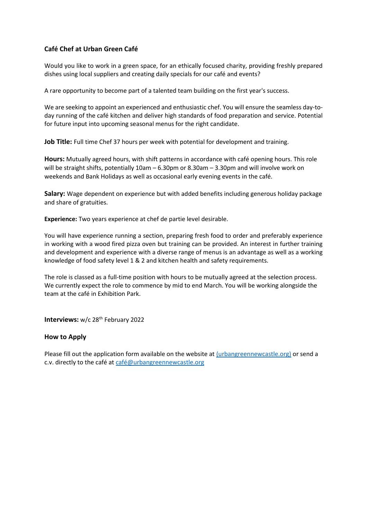## **Café Chef at Urban Green Café**

Would you like to work in a green space, for an ethically focused charity, providing freshly prepared dishes using local suppliers and creating daily specials for our café and events?

A rare opportunity to become part of a talented team building on the first year's success.

We are seeking to appoint an experienced and enthusiastic chef. You will ensure the seamless day-today running of the café kitchen and deliver high standards of food preparation and service. Potential for future input into upcoming seasonal menus for the right candidate.

Job Title: Full time Chef 37 hours per week with potential for development and training.

**Hours:** Mutually agreed hours, with shift patterns in accordance with café opening hours. This role will be straight shifts, potentially 10am – 6.30pm or 8.30am – 3.30pm and will involve work on weekends and Bank Holidays as well as occasional early evening events in the café.

**Salary:** Wage dependent on experience but with added benefits including generous holiday package and share of gratuities.

**Experience:** Two years experience at chef de partie level desirable.

You will have experience running a section, preparing fresh food to order and preferably experience in working with a wood fired pizza oven but training can be provided. An interest in further training and development and experience with a diverse range of menus is an advantage as well as a working knowledge of food safety level 1 & 2 and kitchen health and safety requirements.

The role is classed as a full-time position with hours to be mutually agreed at the selection process. We currently expect the role to commence by mid to end March. You will be working alongside the team at the café in Exhibition Park.

**Interviews:** w/c 28<sup>th</sup> February 2022

## **How to Apply**

Please fill out the application form available on the website a[t \(urbangreennewcastle.org\)](https://urbangreennewcastle.org/about-us/current-vacancies) or send a c.v. directly to the café a[t café@urbangreennewcastle.org](mailto:café@urbangreennewcastle.org)